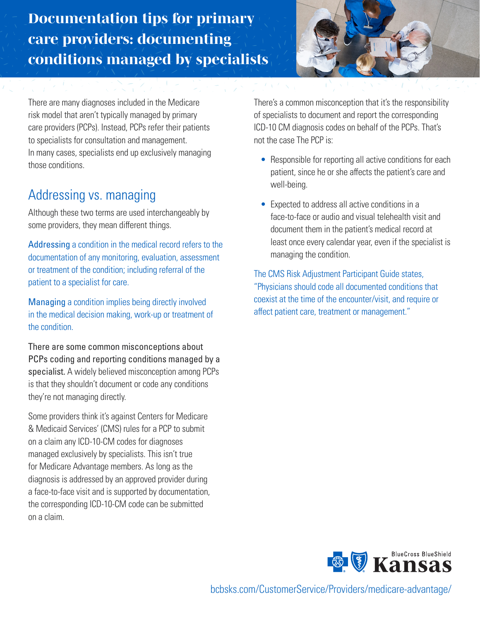*Documentation tips for primary care providers: documenting conditions managed by specialists*



There are many diagnoses included in the Medicare risk model that aren't typically managed by primary care providers (PCPs). Instead, PCPs refer their patients to specialists for consultation and management. In many cases, specialists end up exclusively managing those conditions.

## Addressing vs. managing

Although these two terms are used interchangeably by some providers, they mean different things.

Addressing a condition in the medical record refers to the documentation of any monitoring, evaluation, assessment or treatment of the condition; including referral of the patient to a specialist for care.

Managing a condition implies being directly involved in the medical decision making, work-up or treatment of the condition.

There are some common misconceptions about PCPs coding and reporting conditions managed by a specialist. A widely believed misconception among PCPs is that they shouldn't document or code any conditions they're not managing directly.

Some providers think it's against Centers for Medicare & Medicaid Services' (CMS) rules for a PCP to submit on a claim any ICD-10-CM codes for diagnoses managed exclusively by specialists. This isn't true for Medicare Advantage members. As long as the diagnosis is addressed by an approved provider during a face-to-face visit and is supported by documentation, the corresponding ICD-10-CM code can be submitted on a claim.

There's a common misconception that it's the responsibility of specialists to document and report the corresponding ICD-10 CM diagnosis codes on behalf of the PCPs. That's not the case The PCP is:

- Responsible for reporting all active conditions for each patient, since he or she affects the patient's care and well-being.
- Expected to address all active conditions in a face-to-face or audio and visual telehealth visit and document them in the patient's medical record at least once every calendar year, even if the specialist is managing the condition.

The CMS Risk Adjustment Participant Guide states, "Physicians should code all documented conditions that coexist at the time of the encounter/visit, and require or affect patient care, treatment or management."